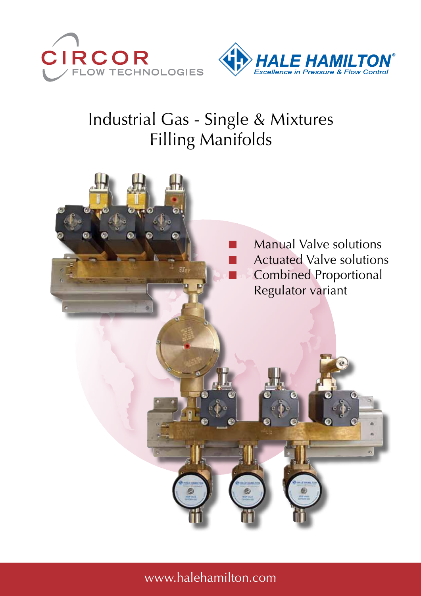



# Industrial Gas - Single & Mixtures Filling Manifolds

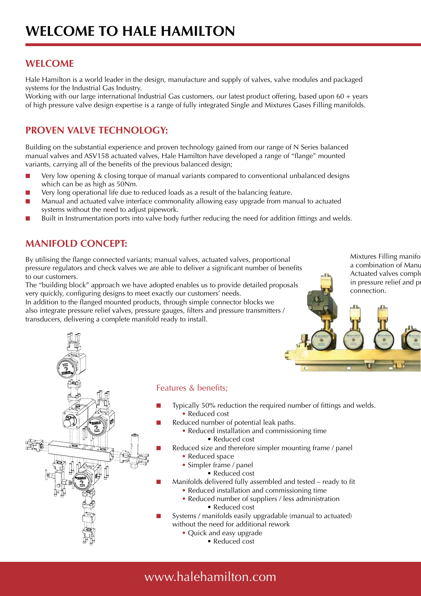## **WELCOME**

Hale Hamilton is a world leader in the design, manufacture and supply of valves, valve modules and packaged systems for the Industrial Gas Industry.

Working with our large international Industrial Gas customers, our latest product offering, based upon 60 + years of high pressure valve design expertise is a range of fully integrated Single and Mixtures Gases Filling manifolds.

## **PROVEN VALVE TECHNOLOGY:**

Building on the substantial experience and proven technology gained from our range of N Series balanced manual valves and ASV158 actuated valves, Hale Hamilton have developed a range of "flange" mounted variants, carrying all of the benefits of the previous balanced design;

- Very low opening & closing torque of manual variants compared to conventional unbalanced designs which can be as high as 50Nm.
- Very long operational life due to reduced loads as a result of the balancing feature.
- Manual and actuated valve interface commonality allowing easy upgrade from manual to actuated systems without the need to adjust pipework.
- Built in Instrumentation ports into valve body further reducing the need for addition fittings and welds.

## **Manifold concept:**

By utilising the flange connected variants; manual valves, actuated valves, proportional pressure regulators and check valves we are able to deliver a significant number of benefits to our customers.

The "building block" approach we have adopted enables us to provide detailed proposals very quickly, configuring designs to meet exactly our customers' needs.

In addition to the flanged mounted products, through simple connector blocks we also integrate pressure relief valves, pressure gauges, filters and pressure transmitters / transducers, delivering a complete manifold ready to install.



Mixtures Filling manifo a combination of Manu Actuated valves comple



### Features & benefits;

- Typically 50% reduction the required number of fittings and welds. • Reduced cost
	- Reduced number of potential leak paths.
		- Reduced installation and commissioning time
			- Reduced cost
- Reduced size and therefore simpler mounting frame / panel
	- Reduced space
		- Simpler frame / panel
			- Reduced cost
	- Manifolds delivered fully assembled and tested ready to fit
		- Reduced installation and commissioning time
		- Reduced number of suppliers / less administration • Reduced cost
- Systems / manifolds easily upgradable (manual to actuated) without the need for additional rework
	- Quick and easy upgrade
		- Reduced cost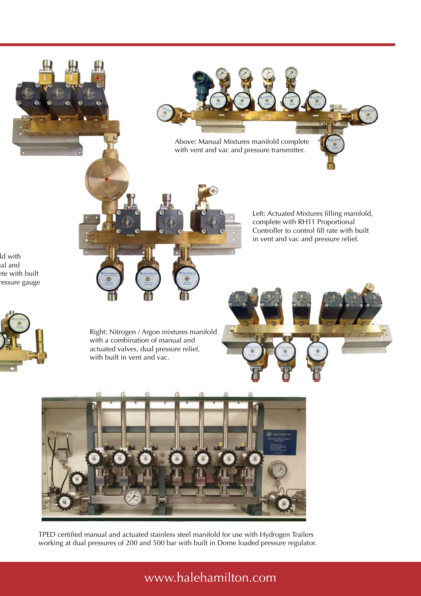

TPED certified manual and actuated stainless steel manifold for use with Hydrogen Trailers working at dual pressures of 200 and 500 bar with built in Dome loaded pressure regulator.